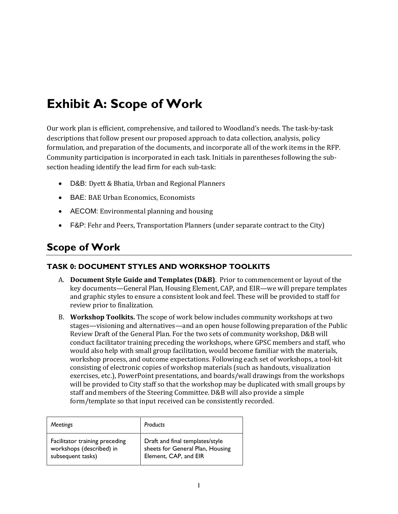# **Exhibit A: Scope of Work**

Our work plan is efficient, comprehensive, and tailored to Woodland's needs. The task-by-task descriptions that follow present our proposed approach to data collection, analysis, policy formulation, and preparation of the documents, and incorporate all of the work items in the RFP. Community participation is incorporated in each task. Initials in parentheses following the subsection heading identify the lead firm for each sub-task:

- D&B: Dyett & Bhatia, Urban and Regional Planners
- BAE: BAE Urban Economics, Economists
- AECOM: Environmental planning and housing
- F&P: Fehr and Peers, Transportation Planners (under separate contract to the City)

# **Scope of Work**

#### **TASK 0: DOCUMENT STYLES AND WORKSHOP TOOLKITS**

- A. **Document Style Guide and Templates (D&B)**. Prior to commencement or layout of the key documents—General Plan, Housing Element, CAP, and EIR—we will prepare templates and graphic styles to ensure a consistent look and feel. These will be provided to staff for review prior to finalization.
- B. **Workshop Toolkits.** The scope of work below includes community workshops at two stages—visioning and alternatives—and an open house following preparation of the Public Review Draft of the General Plan. For the two sets of community workshop, D&B will conduct facilitator training preceding the workshops, where GPSC members and staff, who would also help with small group facilitation, would become familiar with the materials, workshop process, and outcome expectations. Following each set of workshops, a tool-kit consisting of electronic copies of workshop materials (such as handouts, visualization exercises, etc.), PowerPoint presentations, and boards/wall drawings from the workshops will be provided to City staff so that the workshop may be duplicated with small groups by staff and members of the Steering Committee. D&B will also provide a simple form/template so that input received can be consistently recorded.

| <b>Meetings</b>                | Products                         |
|--------------------------------|----------------------------------|
| Facilitator training preceding | Draft and final templates/style  |
| workshops (described) in       | sheets for General Plan, Housing |
| subsequent tasks)              | Element, CAP, and EIR            |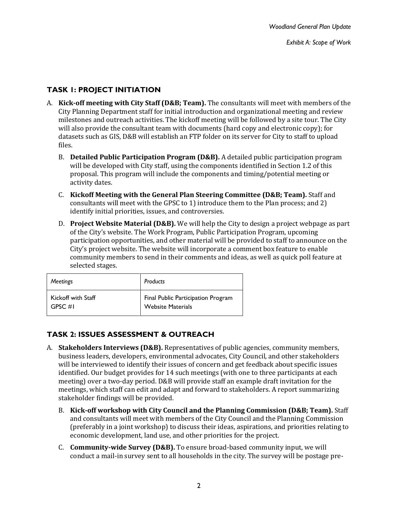### **TASK 1: PROJECT INITIATION**

- A. **Kick-off meeting with City Staff (D&B; Team).** The consultants will meet with members of the City Planning Department staff for initial introduction and organizational meeting and review milestones and outreach activities. The kickoff meeting will be followed by a site tour. The City will also provide the consultant team with documents (hard copy and electronic copy); for datasets such as GIS, D&B will establish an FTP folder on its server for City to staff to upload files.
	- B. **Detailed Public Participation Program (D&B).** A detailed public participation program will be developed with City staff, using the components identified in Section 1.2 of this proposal. This program will include the components and timing/potential meeting or activity dates.
	- C. **Kickoff Meeting with the General Plan Steering Committee (D&B; Team).** Staff and consultants will meet with the GPSC to 1) introduce them to the Plan process; and 2) identify initial priorities, issues, and controversies.
	- D. **Project Website Material (D&B).** We will help the City to design a project webpage as part of the City's website. The Work Program, Public Participation Program, upcoming participation opportunities, and other material will be provided to staff to announce on the City's project website. The website will incorporate a comment box feature to enable community members to send in their comments and ideas, as well as quick poll feature at selected stages.

| Meetings           | Products                           |
|--------------------|------------------------------------|
| Kickoff with Staff | Final Public Participation Program |
| $GPSC \#I$         | <b>Website Materials</b>           |

# **TASK 2: ISSUES ASSESSMENT & OUTREACH**

- A. **Stakeholders Interviews (D&B).** Representatives of public agencies, community members, business leaders, developers, environmental advocates, City Council, and other stakeholders will be interviewed to identify their issues of concern and get feedback about specific issues identified. Our budget provides for 14 such meetings (with one to three participants at each meeting) over a two-day period. D&B will provide staff an example draft invitation for the meetings, which staff can edit and adapt and forward to stakeholders. A report summarizing stakeholder findings will be provided.
	- B. **Kick-off workshop with City Council and the Planning Commission (D&B; Team).** Staff and consultants will meet with members of the City Council and the Planning Commission (preferably in a joint workshop) to discuss their ideas, aspirations, and priorities relating to economic development, land use, and other priorities for the project.
	- C. **Community-wide Survey (D&B).** To ensure broad-based community input, we will conduct a mail-in survey sent to all households in the city. The survey will be postage pre-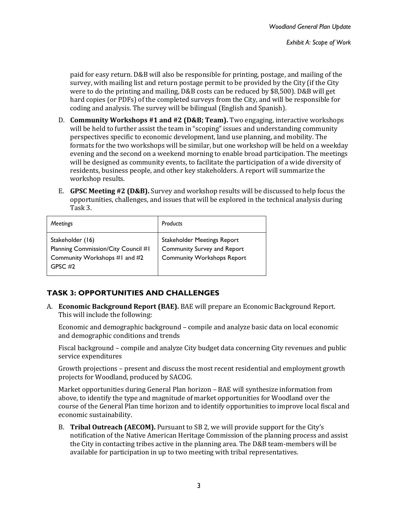paid for easy return. D&B will also be responsible for printing, postage, and mailing of the survey, with mailing list and return postage permit to be provided by the City (if the City were to do the printing and mailing, D&B costs can be reduced by \$8,500). D&B will get hard copies (or PDFs) of the completed surveys from the City, and will be responsible for coding and analysis. The survey will be bilingual (English and Spanish).

- D. **Community Workshops #1 and #2 (D&B; Team).** Two engaging, interactive workshops will be held to further assist the team in "scoping" issues and understanding community perspectives specific to economic development, land use planning, and mobility. The formats for the two workshops will be similar, but one workshop will be held on a weekday evening and the second on a weekend morning to enable broad participation. The meetings will be designed as community events, to facilitate the participation of a wide diversity of residents, business people, and other key stakeholders. A report will summarize the workshop results.
- E. **GPSC Meeting #2 (D&B).** Survey and workshop results will be discussed to help focus the opportunities, challenges, and issues that will be explored in the technical analysis during Task 3.

| <b>Meetings</b>                                                                                       | Products                                                                                        |
|-------------------------------------------------------------------------------------------------------|-------------------------------------------------------------------------------------------------|
| Stakeholder (16)<br>Planning Commission/City Council #1<br>Community Workshops #1 and #2<br>GPSC $#2$ | Stakeholder Meetings Report<br>Community Survey and Report<br><b>Community Workshops Report</b> |

# **TASK 3: OPPORTUNITIES AND CHALLENGES**

A. **Economic Background Report (BAE).** BAE will prepare an Economic Background Report. This will include the following:

Economic and demographic background – compile and analyze basic data on local economic and demographic conditions and trends

Fiscal background – compile and analyze City budget data concerning City revenues and public service expenditures

Growth projections – present and discuss the most recent residential and employment growth projects for Woodland, produced by SACOG.

Market opportunities during General Plan horizon – BAE will synthesize information from above, to identify the type and magnitude of market opportunities for Woodland over the course of the General Plan time horizon and to identify opportunities to improve local fiscal and economic sustainability.

B. **Tribal Outreach (AECOM).** Pursuant to SB 2, we will provide support for the City's notification of the Native American Heritage Commission of the planning process and assist the City in contacting tribes active in the planning area. The D&B team-members will be available for participation in up to two meeting with tribal representatives.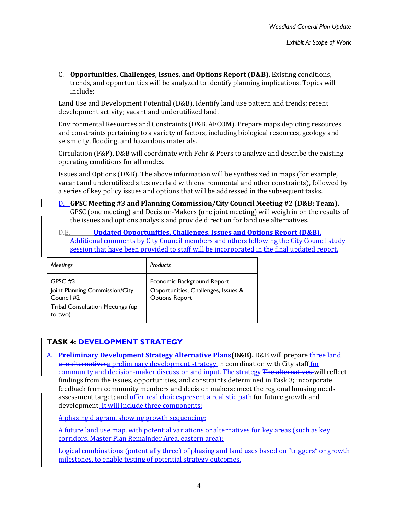C. **Opportunities, Challenges, Issues, and Options Report (D&B).** Existing conditions, trends, and opportunities will be analyzed to identify planning implications. Topics will include:

Land Use and Development Potential (D&B). Identify land use pattern and trends; recent development activity; vacant and underutilized land.

Environmental Resources and Constraints (D&B, AECOM). Prepare maps depicting resources and constraints pertaining to a variety of factors, including biological resources, geology and seismicity, flooding, and hazardous materials.

Circulation (F&P). D&B will coordinate with Fehr & Peers to analyze and describe the existing operating conditions for all modes.

Issues and Options (D&B). The above information will be synthesized in maps (for example, vacant and underutilized sites overlaid with environmental and other constraints), followed by a series of key policy issues and options that will be addressed in the subsequent tasks.

- D. **GPSC Meeting #3 and Planning Commission/City Council Meeting #2 (D&B; Team).** GPSC (one meeting) and Decision-Makers (one joint meeting) will weigh in on the results of the issues and options analysis and provide direction for land use alternatives.
- D.E. **Updated Opportunities, Challenges, Issues and Options Report (D&B).** Additional comments by City Council members and others following the City Council study session that have been provided to staff will be incorporated in the final updated report.

| <b>Meetings</b>                                                                                                 | Products                                                                                   |
|-----------------------------------------------------------------------------------------------------------------|--------------------------------------------------------------------------------------------|
| GPSC $#3$<br>Joint Planning Commission/City<br>Council #2<br><b>Tribal Consultation Meetings (up</b><br>to two) | Economic Background Report<br>Opportunities, Challenges, Issues &<br><b>Options Report</b> |

# **TASK 4: DEVELOPMENT STRATEGY**

A. **Preliminary Development Strategy Alternative Plans(D&B).** D&B will prepare three land use alternativesa preliminary development strategy in coordination with City staff for community and decision-maker discussion and input. The strategy The alternatives will reflect findings from the issues, opportunities, and constraints determined in Task 3; incorporate feedback from community members and decision makers; meet the regional housing needs assessment target; and offer real choicespresent a realistic path for future growth and development. It will include three components:

A phasing diagram, showing growth sequencing;

A future land use map, with potential variations or alternatives for key areas (such as key corridors, Master Plan Remainder Area, eastern area);

Logical combinations (potentially three) of phasing and land uses based on "triggers" or growth milestones, to enable testing of potential strategy outcomes.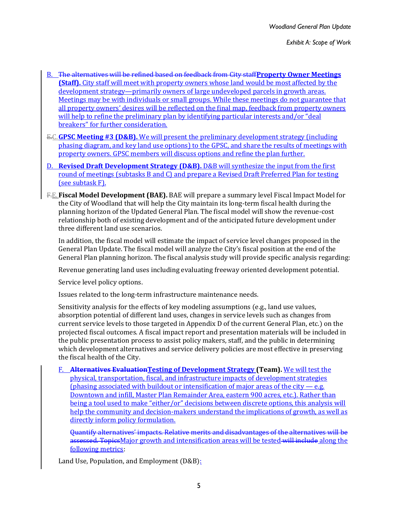- B. The alternatives will be refined based on feedback from City staff**Property Owner Meetings (Staff).** City staff will meet with property owners whose land would be most affected by the development strategy—primarily owners of large undeveloped parcels in growth areas. Meetings may be with individuals or small groups. While these meetings do not guarantee that all property owners' desires will be reflected on the final map, feedback from property owners will help to refine the preliminary plan by identifying particular interests and/or "deal breakers" for further consideration.
- E.C.**GPSC Meeting #3 (D&B).** We will present the preliminary development strategy (including phasing diagram, and key land use options) to the GPSC, and share the results of meetings with property owners. GPSC members will discuss options and refine the plan further.
- D. **Revised Draft Development Strategy (D&B).** D&B will synthesize the input from the first round of meetings (subtasks B and C) and prepare a Revised Draft Preferred Plan for testing (see subtask F).
- F.E.**Fiscal Model Development (BAE).** BAE will prepare a summary level Fiscal Impact Model for the City of Woodland that will help the City maintain its long-term fiscal health during the planning horizon of the Updated General Plan. The fiscal model will show the revenue-cost relationship both of existing development and of the anticipated future development under three different land use scenarios.

In addition, the fiscal model will estimate the impact of service level changes proposed in the General Plan Update. The fiscal model will analyze the City's fiscal position at the end of the General Plan planning horizon. The fiscal analysis study will provide specific analysis regarding:

Revenue generating land uses including evaluating freeway oriented development potential.

Service level policy options.

Issues related to the long-term infrastructure maintenance needs.

Sensitivity analysis for the effects of key modeling assumptions (e.g., land use values, absorption potential of different land uses, changes in service levels such as changes from current service levels to those targeted in Appendix D of the current General Plan, etc.) on the projected fiscal outcomes. A fiscal impact report and presentation materials will be included in the public presentation process to assist policy makers, staff, and the public in determining which development alternatives and service delivery policies are most effective in preserving the fiscal health of the City.

F. **Alternatives EvaluationTesting of Development Strategy (Team).** We will test the physical, transportation, fiscal, and infrastructure impacts of development strategies (phasing associated with buildout or intensification of major areas of the city  $-e.g.$ ) Downtown and infill, Master Plan Remainder Area, eastern 900 acres, etc.). Rather than being a tool used to make "either/or" decisions between discrete options, this analysis will help the community and decision-makers understand the implications of growth, as well as directly inform policy formulation.

Quantify alternatives' impacts. Relative merits and disadvantages of the alternatives will be assessed. TopicsMajor growth and intensification areas will be tested-will include along the following metrics:

Land Use, Population, and Employment (D&B):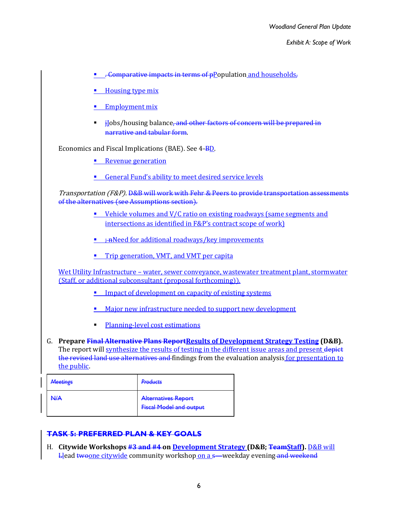- **.** . Comparative impacts in terms of  $p$  population and households,
- **Housing type mix**
- **Employment mix**
- F iJobs/housing balance<del>, and other factors of concern will be prepared in</del> narrative and tabular form.

#### Economics and Fiscal Implications (BAE). See 4-BD.

- Revenue generation
- General Fund's ability to meet desired service levels

Transportation (F&P). D&B will work with Fehr & Peers to provide transportation assessments of the alternatives (see Assumptions section).

- Vehicle volumes and V/C ratio on existing roadways (same segments and intersections as identified in F&P's contract scope of work)
- $\blacksquare$   $\div$   $\uparrow$   $\uparrow$   $\uparrow$   $\uparrow$   $\uparrow$   $\downarrow$   $\uparrow$   $\uparrow$   $\downarrow$   $\downarrow$   $\downarrow$   $\downarrow$   $\downarrow$   $\downarrow$   $\downarrow$   $\downarrow$   $\downarrow$   $\downarrow$   $\downarrow$   $\downarrow$   $\downarrow$   $\downarrow$   $\downarrow$   $\downarrow$   $\downarrow$   $\downarrow$   $\downarrow$   $\downarrow$   $\downarrow$   $\downarrow$   $\downarrow$   $\downarrow$   $\downarrow$   $\downarrow$   $\downarrow$
- **Trip generation, VMT, and VMT per capita**

Wet Utility Infrastructure – water, sewer conveyance, wastewater treatment plant, stormwater (Staff, or additional subconsultant (proposal forthcoming)).

- Impact of development on capacity of existing systems
- **Major new infrastructure needed to support new development**
- **Planning-level cost estimations**
- G. **Prepare Final Alternative Plans ReportResults of Development Strategy Testing (D&B).** The report will synthesize the results of testing in the different issue areas and present depict the revised land use alternatives and findings from the evaluation analysis for presentation to the public.

| <b>Meetings</b> | <b>Products</b>                                              |
|-----------------|--------------------------------------------------------------|
| N/A             | <b>Alternatives Report</b><br><b>Fiscal Model and output</b> |

#### **TASK 5: PREFERRED PLAN & KEY GOALS**

H. **Citywide Workshops #3 and #4 on Development Strategy (D&B; TeamStaff).** D&B will Llead twoone citywide community workshop on a s—weekday evening and weekend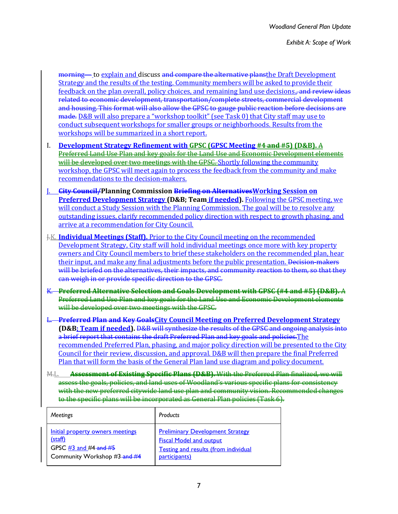morning— to explain and discuss and compare the alternative plans the Draft Development Strategy and the results of the testing. Community members will be asked to provide their feedback on the plan overall, policy choices, and remaining land use decisions., and review ideas related to economic development, transportation/complete streets, commercial development and housing. This format will also allow the GPSC to gauge public reaction before decisions are made. D&B will also prepare a "workshop toolkit" (see Task 0) that City staff may use to conduct subsequent workshops for smaller groups or neighborhoods. Results from the workshops will be summarized in a short report.

- I. **Development Strategy Refinement with GPSC (GPSC Meeting #4 and #5) (D&B).** A Preferred Land Use Plan and key goals for the Land Use and Economic Development elements will be developed over two meetings with the GPSC. Shortly following the community workshop, the GPSC will meet again to process the feedback from the community and make recommendations to the decision-makers.
- J. **City Council/Planning Commission Briefing on AlternativesWorking Session on Preferred Development Strategy (D&B; Team if needed).** Following the GPSC meeting, we will conduct a Study Session with the Planning Commission. The goal will be to resolve any outstanding issues, clarify recommended policy direction with respect to growth phasing, and arrive at a recommendation for City Council.
- J.K. **Individual Meetings (Staff).** Prior to the City Council meeting on the recommended Development Strategy, City staff will hold individual meetings once more with key property owners and City Council members to brief these stakeholders on the recommended plan, hear their input, and make any final adjustments before the public presentation. Decision-makers will be briefed on the alternatives, their impacts, and community reaction to them, so that they can weigh in or provide specific direction to the GPSC.
- K. **Preferred Alternative Selection and Goals Development with GPSC (#4 and #5) (D&B).** A Preferred Land Use Plan and key goals for the Land Use and Economic Development elements will be developed over two meetings with the GPSG.
- L. **Preferred Plan and Key GoalsCity Council Meeting on Preferred Development Strategy (D&B; Team if needed).** D&B will synthesize the results of the GPSC and ongoing analysis into a brief report that contains the draft Preferred Plan and key goals and policies.The recommended Preferred Plan, phasing, and major policy direction will be presented to the City Council for their review, discussion, and approval. D&B will then prepare the final Preferred Plan that will form the basis of the General Plan land use diagram and policy document.
- M.L. **Assessment of Existing Specific Plans (D&B).** With the Preferred Plan finalized, we will assess the goals, policies, and land uses of Woodland's various specific plans for consistency with the new preferred citywide land use plan and community vision. Recommended changes to the specific plans will be incorporated as General Plan policies (Task 6).

| <b>Meetings</b>                  | Products                                    |
|----------------------------------|---------------------------------------------|
| Initial property owners meetings | <b>Preliminary Development Strategy</b>     |
| (staff)                          | <b>Fiscal Model and output</b>              |
| GPSC $\#3$ and $\#4$ and $\#5$   | <b>Testing and results (from individual</b> |
| Community Workshop #3-and #4     | participants)                               |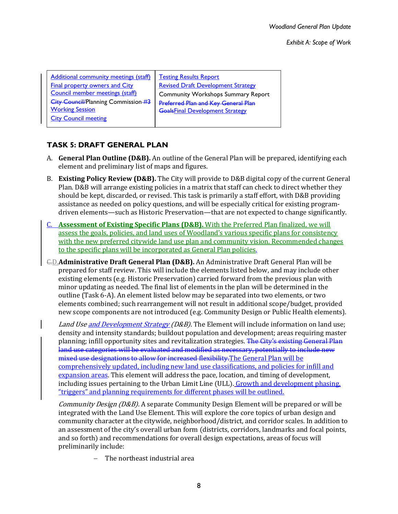*Exhibit A: Scope of Work*

| <b>Additional community meetings (staff)</b> | <b>Testing Results Report</b>              |
|----------------------------------------------|--------------------------------------------|
| <b>Final property owners and City</b>        | <b>Revised Draft Development Strategy</b>  |
| Council member meetings (staff)              | <b>Community Workshops Summary Report</b>  |
| <b>City Council/Planning Commission #3</b>   | <b>Proferred Plan and Key General Plan</b> |
| <b>Working Session</b>                       | <b>GoalsFinal Development Strategy</b>     |
| <b>City Council meeting</b>                  |                                            |
|                                              |                                            |

# **TASK 5: DRAFT GENERAL PLAN**

- A. **General Plan Outline (D&B).** An outline of the General Plan will be prepared, identifying each element and preliminary list of maps and figures.
- B. **Existing Policy Review (D&B).** The City will provide to D&B digital copy of the current General Plan. D&B will arrange existing policies in a matrix that staff can check to direct whether they should be kept, discarded, or revised. This task is primarily a staff effort, with D&B providing assistance as needed on policy questions, and will be especially critical for existing programdriven elements—such as Historic Preservation—that are not expected to change significantly.
- C. **Assessment of Existing Specific Plans (D&B).** With the Preferred Plan finalized, we will assess the goals, policies, and land uses of Woodland's various specific plans for consistency with the new preferred citywide land use plan and community vision. Recommended changes to the specific plans will be incorporated as General Plan policies.
- C.D.**Administrative Draft General Plan (D&B).** An Administrative Draft General Plan will be prepared for staff review. This will include the elements listed below, and may include other existing elements (e.g. Historic Preservation) carried forward from the previous plan with minor updating as needed. The final list of elements in the plan will be determined in the outline (Task 6-A). An element listed below may be separated into two elements, or two elements combined; such rearrangement will not result in additional scope/budget, provided new scope components are not introduced (e.g. Community Design or Public Health elements).

Land Use and Development Strategy (D&B). The Element will include information on land use; density and intensity standards; buildout population and development; areas requiring master planning; infill opportunity sites and revitalization strategies. The City's existing General Plan land use categories will be evaluated and modified as necessary, potentially to include new mixed use designations to allow for increased flexibility.The General Plan will be comprehensively updated, including new land use classifications, and policies for infill and expansion areas. This element will address the pace, location, and timing of development, including issues pertaining to the Urban Limit Line (ULL). Growth and development phasing, "triggers" and planning requirements for different phases will be outlined.

Community Design (D&B). A separate Community Design Element will be prepared or will be integrated with the Land Use Element. This will explore the core topics of urban design and community character at the citywide, neighborhood/district, and corridor scales. In addition to an assessment of the city's overall urban form (districts, corridors, landmarks and focal points, and so forth) and recommendations for overall design expectations, areas of focus will preliminarily include:

The northeast industrial area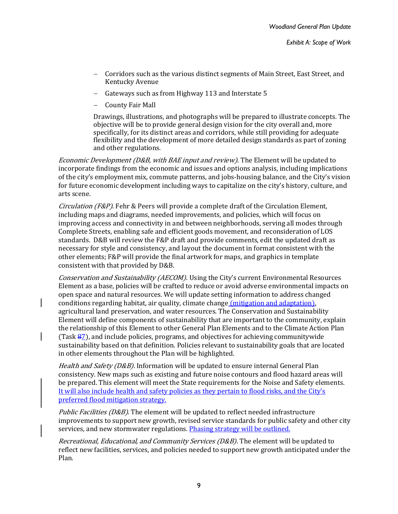- Corridors such as the various distinct segments of Main Street, East Street, and Kentucky Avenue
- Gateways such as from Highway 113 and Interstate 5
- County Fair Mall

Drawings, illustrations, and photographs will be prepared to illustrate concepts. The objective will be to provide general design vision for the city overall and, more specifically, for its distinct areas and corridors, while still providing for adequate flexibility and the development of more detailed design standards as part of zoning and other regulations.

Economic Development (D&B, with BAE input and review). The Element will be updated to incorporate findings from the economic and issues and options analysis, including implications of the city's employment mix, commute patterns, and jobs-housing balance, and the City's vision for future economic development including ways to capitalize on the city's history, culture, and arts scene.

*Circulation (F&P).* Fehr & Peers will provide a complete draft of the Circulation Element, including maps and diagrams, needed improvements, and policies, which will focus on improving access and connectivity in and between neighborhoods, serving all modes through Complete Streets, enabling safe and efficient goods movement, and reconsideration of LOS standards. D&B will review the F&P draft and provide comments, edit the updated draft as necessary for style and consistency, and layout the document in format consistent with the other elements; F&P will provide the final artwork for maps, and graphics in template consistent with that provided by D&B.

Conservation and Sustainability (AECOM). Using the City's current Environmental Resources Element as a base, policies will be crafted to reduce or avoid adverse environmental impacts on open space and natural resources. We will update setting information to address changed conditions regarding habitat, air quality, climate change (mitigation and adaptation), agricultural land preservation, and water resources. The Conservation and Sustainability Element will define components of sustainability that are important to the community, explain the relationship of this Element to other General Plan Elements and to the Climate Action Plan (Task 87), and include policies, programs, and objectives for achieving communitywide sustainability based on that definition. Policies relevant to sustainability goals that are located in other elements throughout the Plan will be highlighted.

Health and Safety (D&B). Information will be updated to ensure internal General Plan consistency. New maps such as existing and future noise contours and flood hazard areas will be prepared. This element will meet the State requirements for the Noise and Safety elements. It will also include health and safety policies as they pertain to flood risks, and the City's preferred flood mitigation strategy.

*Public Facilities (D&B)*. The element will be updated to reflect needed infrastructure improvements to support new growth, revised service standards for public safety and other city services, and new stormwater regulations. Phasing strategy will be outlined.

Recreational, Educational, and Community Services (D&B). The element will be updated to reflect new facilities, services, and policies needed to support new growth anticipated under the Plan.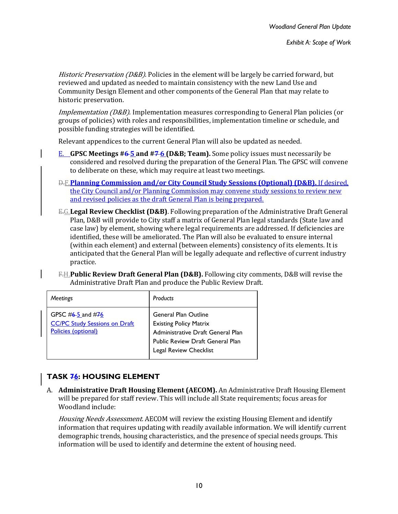Historic Preservation (D&B). Policies in the element will be largely be carried forward, but reviewed and updated as needed to maintain consistency with the new Land Use and Community Design Element and other components of the General Plan that may relate to historic preservation.

Implementation (D&B). Implementation measures corresponding to General Plan policies (or groups of policies) with roles and responsibilities, implementation timeline or schedule, and possible funding strategies will be identified.

Relevant appendices to the current General Plan will also be updated as needed.

- E. **GPSC Meetings #6 5 and #7 6 (D&B; Team).** Some policy issues must necessarily be considered and resolved during the preparation of the General Plan. The GPSC will convene to deliberate on these, which may require at least two meetings.
- D.F.**Planning Commission and/or City Council Study Sessions (Optional) (D&B).** If desired, the City Council and/or Planning Commission may convene study sessions to review new and revised policies as the draft General Plan is being prepared.
- E.G.**Legal Review Checklist (D&B)**. Following preparation of the Administrative Draft General Plan, D&B will provide to City staff a matrix of General Plan legal standards (State law and case law) by element, showing where legal requirements are addressed. If deficiencies are identified, these will be ameliorated. The Plan will also be evaluated to ensure internal (within each element) and external (between elements) consistency of its elements. It is anticipated that the General Plan will be legally adequate and reflective of current industry practice.
- F.H.**Public Review Draft General Plan (D&B).** Following city comments, D&B will revise the Administrative Draft Plan and produce the Public Review Draft.

| <b>Meetings</b>                                                                      | Products                                                                                                                                                        |
|--------------------------------------------------------------------------------------|-----------------------------------------------------------------------------------------------------------------------------------------------------------------|
| GPSC $#6-5$ and $#76$<br><b>CC/PC Study Sessions on Draft</b><br>Policies (optional) | General Plan Outline<br><b>Existing Policy Matrix</b><br>Administrative Draft General Plan<br><b>Public Review Draft General Plan</b><br>Legal Review Checklist |

# **TASK 76: HOUSING ELEMENT**

A. **Administrative Draft Housing Element (AECOM).** An Administrative Draft Housing Element will be prepared for staff review. This will include all State requirements; focus areas for Woodland include:

Housing Needs Assessment. AECOM will review the existing Housing Element and identify information that requires updating with readily available information. We will identify current demographic trends, housing characteristics, and the presence of special needs groups. This information will be used to identify and determine the extent of housing need.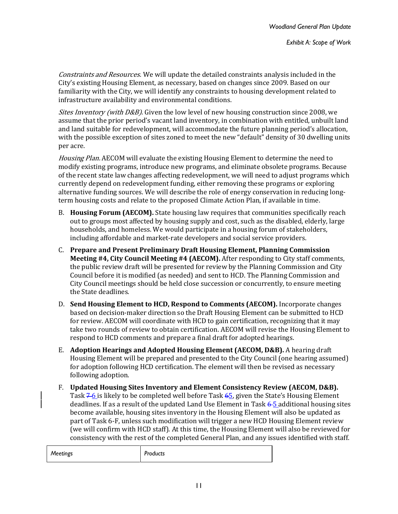Constraints and Resources. We will update the detailed constraints analysis included in the City's existing Housing Element, as necessary, based on changes since 2009. Based on our familiarity with the City, we will identify any constraints to housing development related to infrastructure availability and environmental conditions.

Sites Inventory (with D&B). Given the low level of new housing construction since 2008, we assume that the prior period's vacant land inventory, in combination with entitled, unbuilt land and land suitable for redevelopment, will accommodate the future planning period's allocation, with the possible exception of sites zoned to meet the new "default" density of 30 dwelling units per acre.

Housing Plan. AECOM will evaluate the existing Housing Element to determine the need to modify existing programs, introduce new programs, and eliminate obsolete programs. Because of the recent state law changes affecting redevelopment, we will need to adjust programs which currently depend on redevelopment funding, either removing these programs or exploring alternative funding sources. We will describe the role of energy conservation in reducing longterm housing costs and relate to the proposed Climate Action Plan, if available in time.

- B. **Housing Forum (AECOM).** State housing law requires that communities specifically reach out to groups most affected by housing supply and cost, such as the disabled, elderly, large households, and homeless. We would participate in a housing forum of stakeholders, including affordable and market-rate developers and social service providers.
- C. **Prepare and Present Preliminary Draft Housing Element, Planning Commission Meeting #4, City Council Meeting #4 (AECOM).** After responding to City staff comments, the public review draft will be presented for review by the Planning Commission and City Council before it is modified (as needed) and sent to HCD. The Planning Commission and City Council meetings should be held close succession or concurrently, to ensure meeting the State deadlines.
- D. **Send Housing Element to HCD, Respond to Comments (AECOM).** Incorporate changes based on decision-maker direction so the Draft Housing Element can be submitted to HCD for review. AECOM will coordinate with HCD to gain certification, recognizing that it may take two rounds of review to obtain certification. AECOM will revise the Housing Element to respond to HCD comments and prepare a final draft for adopted hearings.
- E. **Adoption Hearings and Adopted Housing Element (AECOM, D&B).** A hearing draft Housing Element will be prepared and presented to the City Council (one hearing assumed) for adoption following HCD certification. The element will then be revised as necessary following adoption.
- F. **Updated Housing Sites Inventory and Element Consistency Review (AECOM, D&B).** Task  $7-6$  is likely to be completed well before Task  $65$ , given the State's Housing Element deadlines. If as a result of the updated Land Use Element in Task  $6-5$  additional housing sites become available, housing sites inventory in the Housing Element will also be updated as part of Task 6-F, unless such modification will trigger a new HCD Housing Element review (we will confirm with HCD staff). At this time, the Housing Element will also be reviewed for consistency with the rest of the completed General Plan, and any issues identified with staff.

| Meetings | Products |
|----------|----------|
|----------|----------|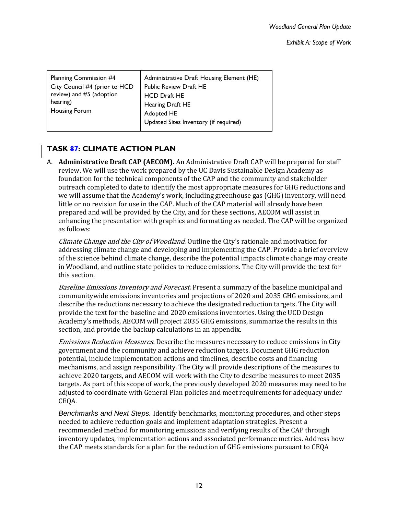| Public Review Draft HE<br>City Council #4 (prior to HCD<br>review) and #5 (adoption<br><b>HCD Draft HE</b><br>hearing)<br>Hearing Draft HE<br>Housing Forum<br>Adopted HE<br>Updated Sites Inventory (if required) | Planning Commission #4 | Administrative Draft Housing Element (HE) |
|--------------------------------------------------------------------------------------------------------------------------------------------------------------------------------------------------------------------|------------------------|-------------------------------------------|
|--------------------------------------------------------------------------------------------------------------------------------------------------------------------------------------------------------------------|------------------------|-------------------------------------------|

# **TASK 87: CLIMATE ACTION PLAN**

A. **Administrative Draft CAP (AECOM).** An Administrative Draft CAP will be prepared for staff review. We will use the work prepared by the UC Davis Sustainable Design Academy as foundation for the technical components of the CAP and the community and stakeholder outreach completed to date to identify the most appropriate measures for GHG reductions and we will assume that the Academy's work, including greenhouse gas (GHG) inventory, will need little or no revision for use in the CAP. Much of the CAP material will already have been prepared and will be provided by the City, and for these sections, AECOM will assist in enhancing the presentation with graphics and formatting as needed. The CAP will be organized as follows:

Climate Change and the City of Woodland. Outline the City's rationale and motivation for addressing climate change and developing and implementing the CAP. Provide a brief overview of the science behind climate change, describe the potential impacts climate change may create in Woodland, and outline state policies to reduce emissions. The City will provide the text for this section.

Baseline Emissions Inventory and Forecast. Present a summary of the baseline municipal and communitywide emissions inventories and projections of 2020 and 2035 GHG emissions, and describe the reductions necessary to achieve the designated reduction targets. The City will provide the text for the baseline and 2020 emissions inventories. Using the UCD Design Academy's methods, AECOM will project 2035 GHG emissions, summarize the results in this section, and provide the backup calculations in an appendix.

Emissions Reduction Measures. Describe the measures necessary to reduce emissions in City government and the community and achieve reduction targets. Document GHG reduction potential, include implementation actions and timelines, describe costs and financing mechanisms, and assign responsibility. The City will provide descriptions of the measures to achieve 2020 targets, and AECOM will work with the City to describe measures to meet 2035 targets. As part of this scope of work, the previously developed 2020 measures may need to be adjusted to coordinate with General Plan policies and meet requirements for adequacy under CEQA.

*Benchmarks and Next Steps.* Identify benchmarks, monitoring procedures, and other steps needed to achieve reduction goals and implement adaptation strategies. Present a recommended method for monitoring emissions and verifying results of the CAP through inventory updates, implementation actions and associated performance metrics. Address how the CAP meets standards for a plan for the reduction of GHG emissions pursuant to CEQA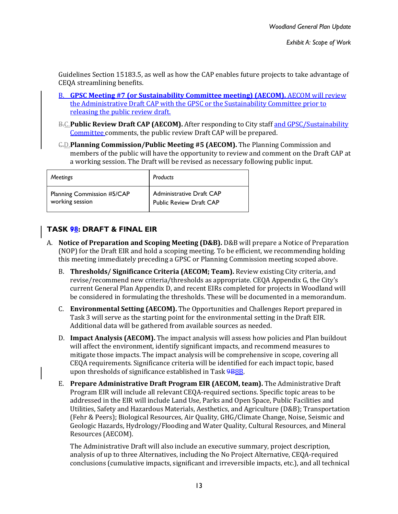Guidelines Section 15183.5, as well as how the CAP enables future projects to take advantage of CEQA streamlining benefits.

- B. **GPSC Meeting #7 (or Sustainability Committee meeting) (AECOM).** AECOM will review the Administrative Draft CAP with the GPSC or the Sustainability Committee prior to releasing the public review draft.
- B.C. Public Review Draft CAP (AECOM). After responding to City staff and GPSC/Sustainability Committee comments, the public review Draft CAP will be prepared.
- C.D.**Planning Commission/Public Meeting #5 (AECOM).** The Planning Commission and members of the public will have the opportunity to review and comment on the Draft CAP at a working session. The Draft will be revised as necessary following public input.

| <b>Meetings</b>            | Products                       |
|----------------------------|--------------------------------|
| Planning Commission #5/CAP | Administrative Draft CAP       |
| working session            | <b>Public Review Draft CAP</b> |

# **TASK 98: DRAFT & FINAL EIR**

- A. **Notice of Preparation and Scoping Meeting (D&B).** D&B will prepare a Notice of Preparation (NOP) for the Draft EIR and hold a scoping meeting. To be efficient, we recommending holding this meeting immediately preceding a GPSC or Planning Commission meeting scoped above.
	- B. **Thresholds/ Significance Criteria (AECOM; Team).** Review existing City criteria, and revise/recommend new criteria/thresholds as appropriate. CEQA Appendix G, the City's current General Plan Appendix D, and recent EIRs completed for projects in Woodland will be considered in formulating the thresholds. These will be documented in a memorandum.
	- C. **Environmental Setting (AECOM).** The Opportunities and Challenges Report prepared in Task 3 will serve as the starting point for the environmental setting in the Draft EIR. Additional data will be gathered from available sources as needed.
	- D. **Impact Analysis (AECOM).** The impact analysis will assess how policies and Plan buildout will affect the environment, identify significant impacts, and recommend measures to mitigate those impacts. The impact analysis will be comprehensive in scope, covering all CEQA requirements. Significance criteria will be identified for each impact topic, based upon thresholds of significance established in Task 9B8B.
	- E. **Prepare Administrative Draft Program EIR (AECOM, team).** The Administrative Draft Program EIR will include all relevant CEQA-required sections. Specific topic areas to be addressed in the EIR will include Land Use, Parks and Open Space, Public Facilities and Utilities, Safety and Hazardous Materials, Aesthetics, and Agriculture (D&B); Transportation (Fehr & Peers); Biological Resources, Air Quality, GHG/Climate Change, Noise, Seismic and Geologic Hazards, Hydrology/Flooding and Water Quality, Cultural Resources, and Mineral Resources (AECOM).

The Administrative Draft will also include an executive summary, project description, analysis of up to three Alternatives, including the No Project Alternative, CEQA-required conclusions (cumulative impacts, significant and irreversible impacts, etc.), and all technical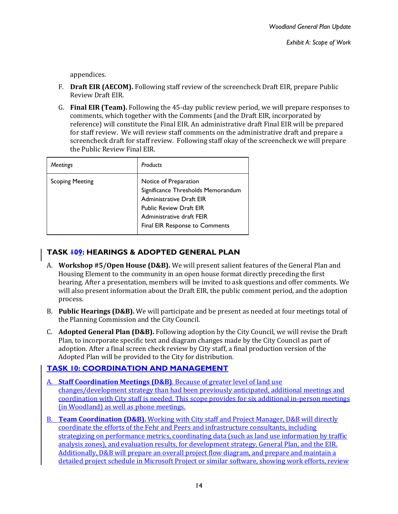appendices.

- F. **Draft EIR (AECOM).** Following staff review of the screencheck Draft EIR, prepare Public Review Draft EIR.
- G. **Final EIR (Team).** Following the 45-day public review period, we will prepare responses to comments, which together with the Comments (and the Draft EIR, incorporated by reference) will constitute the Final EIR. An administrative draft Final EIR will be prepared for staff review. We will review staff comments on the administrative draft and prepare a screencheck draft for staff review. Following staff okay of the screencheck we will prepare the Public Review Final EIR.

| Meetings               | Products                                                                                                                                                                                 |
|------------------------|------------------------------------------------------------------------------------------------------------------------------------------------------------------------------------------|
| <b>Scoping Meeting</b> | Notice of Preparation<br>Significance Thresholds Memorandum<br>Administrative Draft EIR<br><b>Public Review Draft EIR</b><br>Administrative draft FEIR<br>Final EIR Response to Comments |

# **TASK 109: HEARINGS & ADOPTED GENERAL PLAN**

- A. **Workshop #5/Open House (D&B).** We will present salient features of the General Plan and Housing Element to the community in an open house format directly preceding the first hearing. After a presentation, members will be invited to ask questions and offer comments. We will also present information about the Draft EIR, the public comment period, and the adoption process.
- B. **Public Hearings (D&B).** We will participate and be present as needed at four meetings total of the Planning Commission and the City Council.
- C. **Adopted General Plan (D&B).** Following adoption by the City Council, we will revise the Draft Plan, to incorporate specific text and diagram changes made by the City Council as part of adoption. After a final screen check review by City staff, a final production version of the Adopted Plan will be provided to the City for distribution.

# **TASK 10: COORDINATION AND MANAGEMENT**

- **Staff Coordination Meetings (D&B)**. Because of greater level of land use changes/development strategy than had been previously anticipated, additional meetings and coordination with City staff is needed. This scope provides for six additional in-person meetings (in Woodland) as well as phone meetings.
- B. **Team Coordination (D&B).** Working with City staff and Project Manager, D&B will directly coordinate the efforts of the Fehr and Peers and infrastructure consultants, including strategizing on performance metrics, coordinating data (such as land use information by traffic analysis zones), and evaluation results, for development strategy, General Plan, and the EIR. Additionally, D&B will prepare an overall project flow diagram, and prepare and maintain a detailed project schedule in Microsoft Project or similar software, showing work efforts, review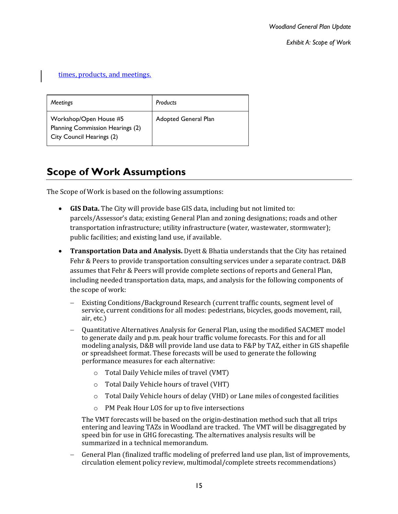times, products, and meetings.

| <b>Meetings</b>                                                                         | Products             |
|-----------------------------------------------------------------------------------------|----------------------|
| Workshop/Open House #5<br>Planning Commission Hearings (2)<br>City Council Hearings (2) | Adopted General Plan |

# **Scope of Work Assumptions**

The Scope of Work is based on the following assumptions:

- **GIS Data.** The City will provide base GIS data, including but not limited to: parcels/Assessor's data; existing General Plan and zoning designations; roads and other transportation infrastructure; utility infrastructure (water, wastewater, stormwater); public facilities; and existing land use, if available.
- **Transportation Data and Analysis.** Dyett & Bhatia understands that the City has retained Fehr & Peers to provide transportation consulting services under a separate contract. D&B assumes that Fehr & Peers will provide complete sections of reports and General Plan, including needed transportation data, maps, and analysis for the following components of the scope of work:
	- Existing Conditions/Background Research (current traffic counts, segment level of service, current conditions for all modes: pedestrians, bicycles, goods movement, rail, air, etc.)
	- Quantitative Alternatives Analysis for General Plan, using the modified SACMET model to generate daily and p.m. peak hour traffic volume forecasts. For this and for all modeling analysis, D&B will provide land use data to F&P by TAZ, either in GIS shapefile or spreadsheet format. These forecasts will be used to generate the following performance measures for each alternative:
		- o Total Daily Vehicle miles of travel (VMT)
		- o Total Daily Vehicle hours of travel (VHT)
		- o Total Daily Vehicle hours of delay (VHD) or Lane miles of congested facilities
		- o PM Peak Hour LOS for up to five intersections

The VMT forecasts will be based on the origin-destination method such that all trips entering and leaving TAZs in Woodland are tracked. The VMT will be disaggregated by speed bin for use in GHG forecasting. The alternatives analysis results will be summarized in a technical memorandum.

 General Plan (finalized traffic modeling of preferred land use plan, list of improvements, circulation element policy review, multimodal/complete streets recommendations)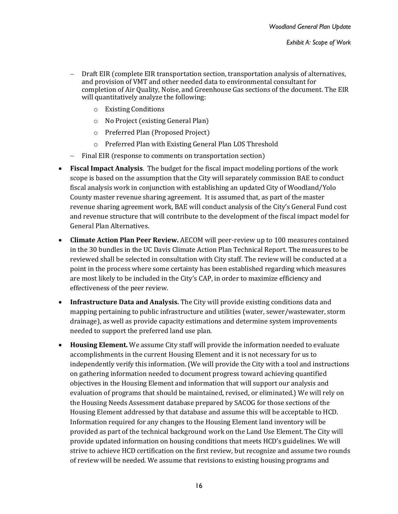- Draft EIR (complete EIR transportation section, transportation analysis of alternatives, and provision of VMT and other needed data to environmental consultant for completion of Air Quality, Noise, and Greenhouse Gas sections of the document. The EIR will quantitatively analyze the following:
	- o Existing Conditions
	- o No Project (existing General Plan)
	- o Preferred Plan (Proposed Project)
	- o Preferred Plan with Existing General Plan LOS Threshold
- Final EIR (response to comments on transportation section)
- **Fiscal Impact Analysis**. The budget for the fiscal impact modeling portions of the work scope is based on the assumption that the City will separately commission BAE to conduct fiscal analysis work in conjunction with establishing an updated City of Woodland/Yolo County master revenue sharing agreement. It is assumed that, as part of the master revenue sharing agreement work, BAE will conduct analysis of the City's General Fund cost and revenue structure that will contribute to the development of the fiscal impact model for General Plan Alternatives.
- **Climate Action Plan Peer Review.** AECOM will peer-review up to 100 measures contained in the 30 bundles in the UC Davis Climate Action Plan Technical Report. The measures to be reviewed shall be selected in consultation with City staff. The review will be conducted at a point in the process where some certainty has been established regarding which measures are most likely to be included in the City's CAP, in order to maximize efficiency and effectiveness of the peer review.
- **Infrastructure Data and Analysis.** The City will provide existing conditions data and mapping pertaining to public infrastructure and utilities (water, sewer/wastewater, storm drainage), as well as provide capacity estimations and determine system improvements needed to support the preferred land use plan.
- **Housing Element.** We assume City staff will provide the information needed to evaluate accomplishments in the current Housing Element and it is not necessary for us to independently verify this information. (We will provide the City with a tool and instructions on gathering information needed to document progress toward achieving quantified objectives in the Housing Element and information that will support our analysis and evaluation of programs that should be maintained, revised, or eliminated.) We will rely on the Housing Needs Assessment database prepared by SACOG for those sections of the Housing Element addressed by that database and assume this will be acceptable to HCD. Information required for any changes to the Housing Element land inventory will be provided as part of the technical background work on the Land Use Element. The City will provide updated information on housing conditions that meets HCD's guidelines. We will strive to achieve HCD certification on the first review, but recognize and assume two rounds of review will be needed. We assume that revisions to existing housing programs and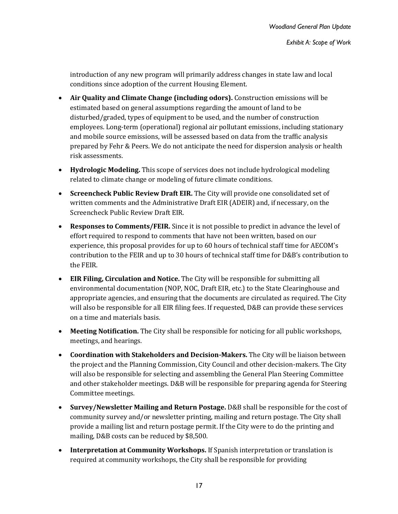introduction of any new program will primarily address changes in state law and local conditions since adoption of the current Housing Element.

- **Air Quality and Climate Change (including odors).** Construction emissions will be estimated based on general assumptions regarding the amount of land to be disturbed/graded, types of equipment to be used, and the number of construction employees. Long-term (operational) regional air pollutant emissions, including stationary and mobile source emissions, will be assessed based on data from the traffic analysis prepared by Fehr & Peers. We do not anticipate the need for dispersion analysis or health risk assessments.
- **Hydrologic Modeling.** This scope of services does not include hydrological modeling related to climate change or modeling of future climate conditions.
- **Screencheck Public Review Draft EIR.** The City will provide one consolidated set of written comments and the Administrative Draft EIR (ADEIR) and, if necessary, on the Screencheck Public Review Draft EIR.
- **Responses to Comments/FEIR.** Since it is not possible to predict in advance the level of effort required to respond to comments that have not been written, based on our experience, this proposal provides for up to 60 hours of technical staff time for AECOM's contribution to the FEIR and up to 30 hours of technical staff time for D&B's contribution to the FEIR.
- **EIR Filing, Circulation and Notice.** The City will be responsible for submitting all environmental documentation (NOP, NOC, Draft EIR, etc.) to the State Clearinghouse and appropriate agencies, and ensuring that the documents are circulated as required. The City will also be responsible for all EIR filing fees. If requested, D&B can provide these services on a time and materials basis.
- **Meeting Notification.** The City shall be responsible for noticing for all public workshops, meetings, and hearings.
- **Coordination with Stakeholders and Decision-Makers.** The City will be liaison between the project and the Planning Commission, City Council and other decision-makers. The City will also be responsible for selecting and assembling the General Plan Steering Committee and other stakeholder meetings. D&B will be responsible for preparing agenda for Steering Committee meetings.
- **Survey/Newsletter Mailing and Return Postage.** D&B shall be responsible for the cost of community survey and/or newsletter printing, mailing and return postage. The City shall provide a mailing list and return postage permit. If the City were to do the printing and mailing, D&B costs can be reduced by \$8,500.
- **Interpretation at Community Workshops.** If Spanish interpretation or translation is required at community workshops, the City shall be responsible for providing